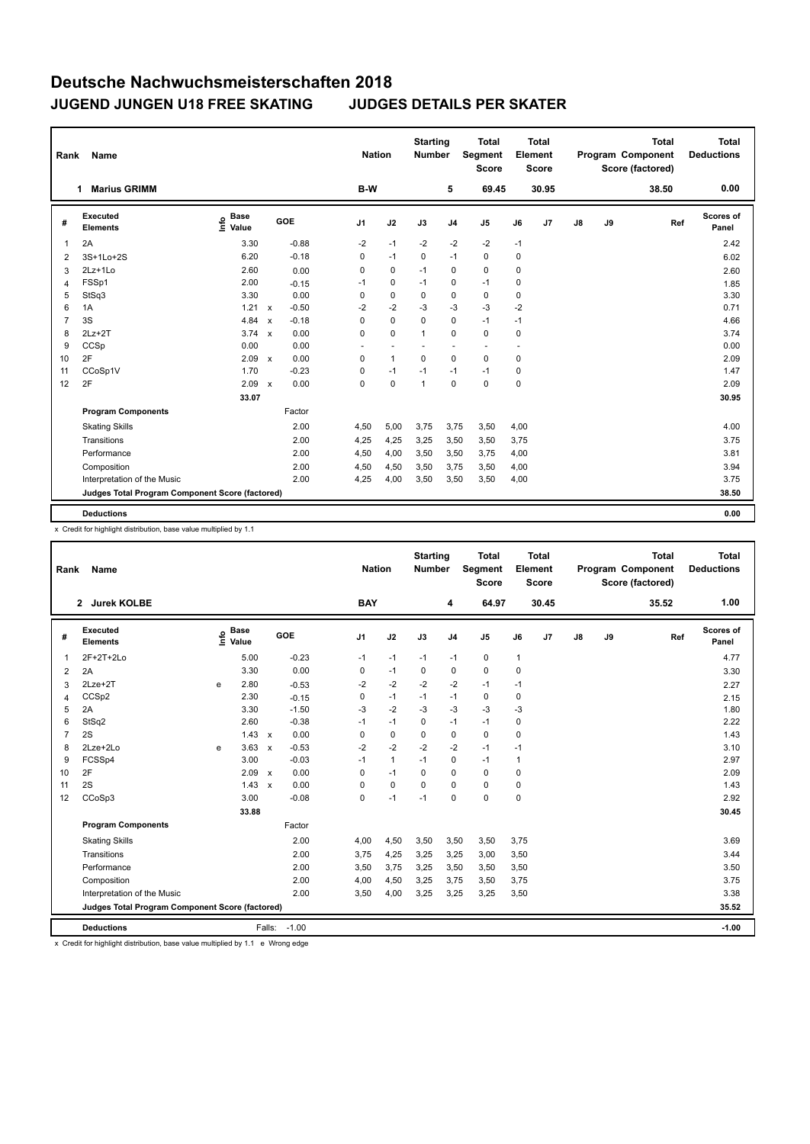## **Deutsche Nachwuchsmeisterschaften 2018 JUGEND JUNGEN U18 FREE SKATING JUDGES DETAILS PER SKATER**

| <b>Name</b><br>Rank |                                                 |                              |                           |         |                | <b>Nation</b>            |              | <b>Starting</b><br><b>Number</b> | <b>Total</b><br>Segment<br><b>Score</b> | Total<br>Element<br><b>Score</b> |       |               |    | <b>Total</b><br>Program Component<br>Score (factored) | Total<br><b>Deductions</b> |
|---------------------|-------------------------------------------------|------------------------------|---------------------------|---------|----------------|--------------------------|--------------|----------------------------------|-----------------------------------------|----------------------------------|-------|---------------|----|-------------------------------------------------------|----------------------------|
|                     | <b>Marius GRIMM</b><br>1                        |                              |                           |         | B-W            |                          |              | 5                                | 69.45                                   |                                  | 30.95 |               |    | 38.50                                                 | 0.00                       |
| #                   | <b>Executed</b><br><b>Elements</b>              | <b>Base</b><br>lnfo<br>Value |                           | GOE     | J <sub>1</sub> | J2                       | J3           | J <sub>4</sub>                   | J <sub>5</sub>                          | J6                               | J7    | $\mathsf{J}8$ | J9 | Ref                                                   | Scores of<br>Panel         |
| $\mathbf{1}$        | 2A                                              | 3.30                         |                           | $-0.88$ | $-2$           | $-1$                     | $-2$         | $-2$                             | $-2$                                    | $-1$                             |       |               |    |                                                       | 2.42                       |
| 2                   | 3S+1Lo+2S                                       | 6.20                         |                           | $-0.18$ | 0              | $-1$                     | $\mathbf 0$  | $-1$                             | $\mathbf 0$                             | 0                                |       |               |    |                                                       | 6.02                       |
| 3                   | $2Lz+1Lo$                                       | 2.60                         |                           | 0.00    | $\Omega$       | $\mathbf 0$              | $-1$         | $\mathbf 0$                      | $\mathbf 0$                             | 0                                |       |               |    |                                                       | 2.60                       |
| $\overline{4}$      | FSSp1                                           | 2.00                         |                           | $-0.15$ | $-1$           | $\mathbf 0$              | $-1$         | $\Omega$                         | $-1$                                    | 0                                |       |               |    |                                                       | 1.85                       |
| 5                   | StSq3                                           | 3.30                         |                           | 0.00    | 0              | $\mathbf 0$              | 0            | $\mathbf 0$                      | $\mathbf 0$                             | 0                                |       |               |    |                                                       | 3.30                       |
| 6                   | 1A                                              | 1.21                         | $\boldsymbol{\mathsf{x}}$ | $-0.50$ | $-2$           | $-2$                     | $-3$         | $-3$                             | $-3$                                    | $-2$                             |       |               |    |                                                       | 0.71                       |
| $\overline{7}$      | 3S                                              | 4.84                         | $\mathsf{x}$              | $-0.18$ | $\Omega$       | $\Omega$                 | $\Omega$     | $\Omega$                         | $-1$                                    | $-1$                             |       |               |    |                                                       | 4.66                       |
| 8                   | $2Lz+2T$                                        | $3.74 \times$                |                           | 0.00    | $\Omega$       | $\mathbf 0$              | $\mathbf{1}$ | $\mathbf 0$                      | $\mathbf 0$                             | 0                                |       |               |    |                                                       | 3.74                       |
| 9                   | CCSp                                            | 0.00                         |                           | 0.00    | ٠              | $\overline{\phantom{a}}$ |              | ٠.                               | $\overline{\phantom{a}}$                |                                  |       |               |    |                                                       | 0.00                       |
| 10                  | 2F                                              | 2.09                         | $\boldsymbol{\mathsf{x}}$ | 0.00    | 0              | $\mathbf{1}$             | $\mathbf 0$  | $\mathbf 0$                      | $\mathbf 0$                             | 0                                |       |               |    |                                                       | 2.09                       |
| 11                  | CCoSp1V                                         | 1.70                         |                           | $-0.23$ | 0              | $-1$                     | $-1$         | $-1$                             | $-1$                                    | 0                                |       |               |    |                                                       | 1.47                       |
| 12                  | 2F                                              | 2.09                         | $\boldsymbol{\mathsf{x}}$ | 0.00    | $\Omega$       | $\Omega$                 | $\mathbf{1}$ | $\Omega$                         | $\Omega$                                | 0                                |       |               |    |                                                       | 2.09                       |
|                     |                                                 | 33.07                        |                           |         |                |                          |              |                                  |                                         |                                  |       |               |    |                                                       | 30.95                      |
|                     | <b>Program Components</b>                       |                              |                           | Factor  |                |                          |              |                                  |                                         |                                  |       |               |    |                                                       |                            |
|                     | <b>Skating Skills</b>                           |                              |                           | 2.00    | 4,50           | 5,00                     | 3,75         | 3,75                             | 3,50                                    | 4,00                             |       |               |    |                                                       | 4.00                       |
|                     | Transitions                                     |                              |                           | 2.00    | 4,25           | 4,25                     | 3,25         | 3,50                             | 3,50                                    | 3,75                             |       |               |    |                                                       | 3.75                       |
|                     | Performance                                     |                              |                           | 2.00    | 4,50           | 4,00                     | 3,50         | 3,50                             | 3,75                                    | 4,00                             |       |               |    |                                                       | 3.81                       |
|                     | Composition                                     |                              |                           | 2.00    | 4,50           | 4,50                     | 3,50         | 3,75                             | 3,50                                    | 4,00                             |       |               |    |                                                       | 3.94                       |
|                     | Interpretation of the Music                     |                              |                           | 2.00    | 4,25           | 4,00                     | 3,50         | 3,50                             | 3,50                                    | 4,00                             |       |               |    |                                                       | 3.75                       |
|                     | Judges Total Program Component Score (factored) |                              |                           |         |                |                          |              |                                  |                                         |                                  |       |               |    |                                                       | 38.50                      |
|                     | <b>Deductions</b>                               |                              |                           |         |                |                          |              |                                  |                                         |                                  |       |               |    |                                                       | 0.00                       |
|                     |                                                 |                              |                           |         |                |                          |              |                                  |                                         |                                  |       |               |    |                                                       |                            |

x Credit for highlight distribution, base value multiplied by 1.1

| Rank           | <b>Name</b>                                     |    |                      |              |         |                | <b>Nation</b> | <b>Starting</b><br><b>Number</b> |                | <b>Total</b><br><b>Segment</b><br><b>Score</b> |              | <b>Total</b><br>Element<br><b>Score</b> |    |    | <b>Total</b><br>Program Component<br>Score (factored) | <b>Total</b><br><b>Deductions</b> |
|----------------|-------------------------------------------------|----|----------------------|--------------|---------|----------------|---------------|----------------------------------|----------------|------------------------------------------------|--------------|-----------------------------------------|----|----|-------------------------------------------------------|-----------------------------------|
|                | 2 Jurek KOLBE                                   |    |                      |              |         | <b>BAY</b>     |               |                                  | 4              | 64.97                                          |              | 30.45                                   |    |    | 35.52                                                 | 1.00                              |
| #              | Executed<br><b>Elements</b>                     | ١m | <b>Base</b><br>Value |              | GOE     | J <sub>1</sub> | J2            | J3                               | J <sub>4</sub> | J <sub>5</sub>                                 | J6           | J <sub>7</sub>                          | J8 | J9 | Ref                                                   | <b>Scores of</b><br>Panel         |
| $\mathbf 1$    | 2F+2T+2Lo                                       |    | 5.00                 |              | $-0.23$ | $-1$           | $-1$          | $-1$                             | $-1$           | $\mathbf 0$                                    | $\mathbf{1}$ |                                         |    |    |                                                       | 4.77                              |
| 2              | 2A                                              |    | 3.30                 |              | 0.00    | 0              | $-1$          | $\Omega$                         | 0              | 0                                              | 0            |                                         |    |    |                                                       | 3.30                              |
| 3              | $2Lze+2T$                                       | e  | 2.80                 |              | $-0.53$ | $-2$           | $-2$          | $-2$                             | $-2$           | $-1$                                           | $-1$         |                                         |    |    |                                                       | 2.27                              |
| $\overline{4}$ | CCSp2                                           |    | 2.30                 |              | $-0.15$ | 0              | $-1$          | $-1$                             | $-1$           | $\mathbf 0$                                    | $\mathbf 0$  |                                         |    |    |                                                       | 2.15                              |
| 5              | 2A                                              |    | 3.30                 |              | $-1.50$ | $-3$           | $-2$          | $-3$                             | $-3$           | $-3$                                           | $-3$         |                                         |    |    |                                                       | 1.80                              |
| 6              | StSq2                                           |    | 2.60                 |              | $-0.38$ | $-1$           | $-1$          | 0                                | $-1$           | $-1$                                           | 0            |                                         |    |    |                                                       | 2.22                              |
| $\overline{7}$ | 2S                                              |    | 1.43                 | $\mathbf{x}$ | 0.00    | $\Omega$       | $\mathbf 0$   | 0                                | $\mathbf 0$    | $\mathbf 0$                                    | $\mathbf 0$  |                                         |    |    |                                                       | 1.43                              |
| 8              | 2Lze+2Lo                                        | e  | 3.63                 | $\mathbf{x}$ | $-0.53$ | $-2$           | $-2$          | $-2$                             | $-2$           | $-1$                                           | $-1$         |                                         |    |    |                                                       | 3.10                              |
| 9              | FCSSp4                                          |    | 3.00                 |              | $-0.03$ | $-1$           | $\mathbf{1}$  | $-1$                             | $\mathbf 0$    | $-1$                                           | $\mathbf{1}$ |                                         |    |    |                                                       | 2.97                              |
| 10             | 2F                                              |    | 2.09                 | $\mathbf{x}$ | 0.00    | 0              | $-1$          | $\Omega$                         | $\Omega$       | 0                                              | 0            |                                         |    |    |                                                       | 2.09                              |
| 11             | 2S                                              |    | 1.43                 | $\mathsf{x}$ | 0.00    | 0              | $\mathbf 0$   | 0                                | $\Omega$       | 0                                              | 0            |                                         |    |    |                                                       | 1.43                              |
| 12             | CCoSp3                                          |    | 3.00                 |              | $-0.08$ | 0              | $-1$          | $-1$                             | $\mathbf 0$    | $\mathbf 0$                                    | $\mathbf 0$  |                                         |    |    |                                                       | 2.92                              |
|                |                                                 |    | 33.88                |              |         |                |               |                                  |                |                                                |              |                                         |    |    |                                                       | 30.45                             |
|                | <b>Program Components</b>                       |    |                      |              | Factor  |                |               |                                  |                |                                                |              |                                         |    |    |                                                       |                                   |
|                | <b>Skating Skills</b>                           |    |                      |              | 2.00    | 4,00           | 4,50          | 3,50                             | 3,50           | 3,50                                           | 3,75         |                                         |    |    |                                                       | 3.69                              |
|                | Transitions                                     |    |                      |              | 2.00    | 3,75           | 4,25          | 3,25                             | 3,25           | 3,00                                           | 3,50         |                                         |    |    |                                                       | 3.44                              |
|                | Performance                                     |    |                      |              | 2.00    | 3,50           | 3,75          | 3.25                             | 3.50           | 3,50                                           | 3,50         |                                         |    |    |                                                       | 3.50                              |
|                | Composition                                     |    |                      |              | 2.00    | 4,00           | 4,50          | 3,25                             | 3,75           | 3,50                                           | 3,75         |                                         |    |    |                                                       | 3.75                              |
|                | Interpretation of the Music                     |    |                      |              | 2.00    | 3,50           | 4,00          | 3,25                             | 3,25           | 3,25                                           | 3,50         |                                         |    |    |                                                       | 3.38                              |
|                | Judges Total Program Component Score (factored) |    |                      |              |         |                |               |                                  |                |                                                |              |                                         |    |    |                                                       | 35.52                             |
|                | <b>Deductions</b>                               |    |                      | Falls:       | $-1.00$ |                |               |                                  |                |                                                |              |                                         |    |    |                                                       | $-1.00$                           |

x Credit for highlight distribution, base value multiplied by 1.1 e Wrong edge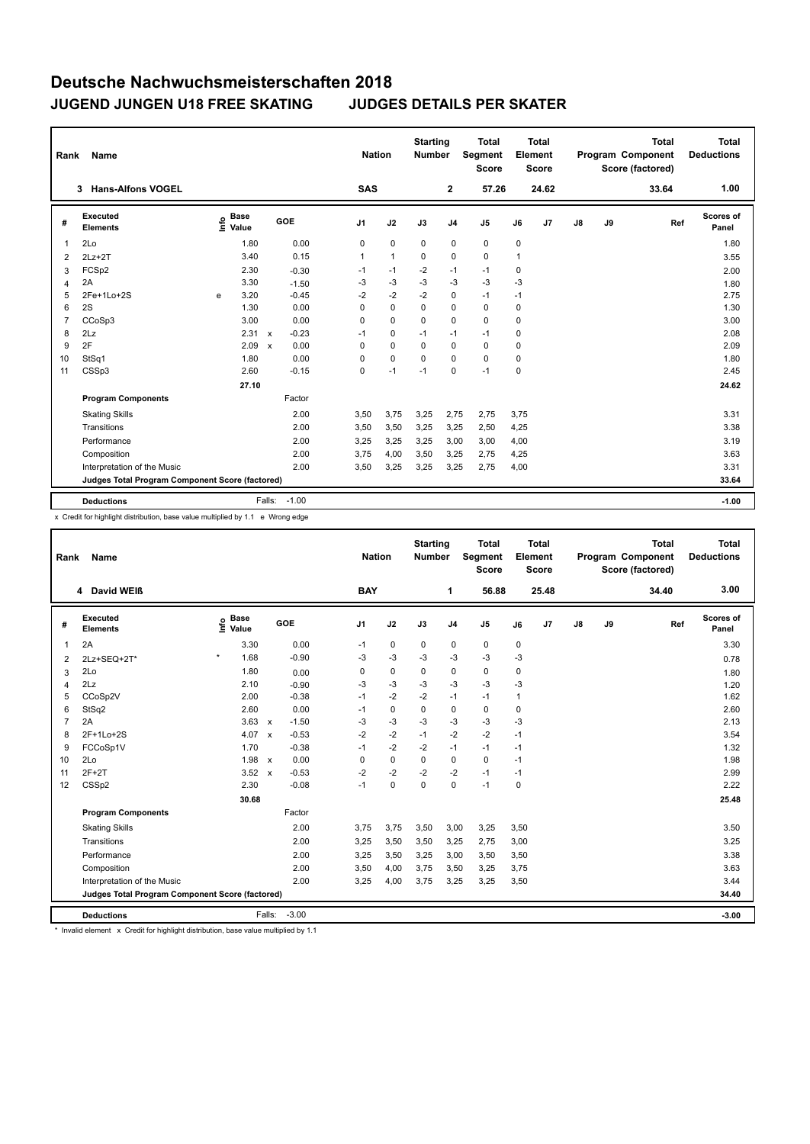## **Deutsche Nachwuchsmeisterschaften 2018 JUGEND JUNGEN U18 FREE SKATING JUDGES DETAILS PER SKATER**

| Rank<br>Name   |                                                 |      |                      |                           |         |                | <b>Nation</b>        |  | <b>Starting</b><br><b>Number</b> |                | <b>Total</b><br>Segment<br><b>Score</b> | Total<br>Element<br><b>Score</b> |                |               |    | <b>Total</b><br>Program Component<br>Score (factored) |     | Total<br><b>Deductions</b> |
|----------------|-------------------------------------------------|------|----------------------|---------------------------|---------|----------------|----------------------|--|----------------------------------|----------------|-----------------------------------------|----------------------------------|----------------|---------------|----|-------------------------------------------------------|-----|----------------------------|
|                | <b>Hans-Alfons VOGEL</b><br>3                   |      |                      |                           |         | <b>SAS</b>     |                      |  |                                  | $\overline{2}$ | 57.26                                   |                                  | 24.62          |               |    | 33.64                                                 |     | 1.00                       |
| #              | Executed<br><b>Elements</b>                     | lnfo | <b>Base</b><br>Value |                           | GOE     | J <sub>1</sub> | J2                   |  | J3                               | J <sub>4</sub> | J <sub>5</sub>                          | J6                               | J <sub>7</sub> | $\mathsf{J}8$ | J9 |                                                       | Ref | Scores of<br>Panel         |
| 1              | 2Lo                                             |      | 1.80                 |                           | 0.00    | 0              | $\mathbf 0$          |  | $\Omega$                         | $\mathbf 0$    | $\mathbf 0$                             | 0                                |                |               |    |                                                       |     | 1.80                       |
| $\overline{2}$ | $2Lz+2T$                                        |      | 3.40                 |                           | 0.15    | $\mathbf{1}$   | $\blacktriangleleft$ |  | $\Omega$                         | $\Omega$       | $\Omega$                                | 1                                |                |               |    |                                                       |     | 3.55                       |
| 3              | FCSp2                                           |      | 2.30                 |                           | $-0.30$ | $-1$           | $-1$                 |  | $-2$                             | $-1$           | $-1$                                    | 0                                |                |               |    |                                                       |     | 2.00                       |
| $\overline{4}$ | 2A                                              |      | 3.30                 |                           | $-1.50$ | $-3$           | $-3$                 |  | $-3$                             | $-3$           | $-3$                                    | $-3$                             |                |               |    |                                                       |     | 1.80                       |
| 5              | 2Fe+1Lo+2S                                      | e    | 3.20                 |                           | $-0.45$ | $-2$           | $-2$                 |  | $-2$                             | $\mathbf 0$    | $-1$                                    | $-1$                             |                |               |    |                                                       |     | 2.75                       |
| 6              | 2S                                              |      | 1.30                 |                           | 0.00    | 0              | $\mathbf 0$          |  | $\Omega$                         | $\Omega$       | $\Omega$                                | 0                                |                |               |    |                                                       |     | 1.30                       |
| $\overline{7}$ | CCoSp3                                          |      | 3.00                 |                           | 0.00    | $\Omega$       | $\Omega$             |  | $\Omega$                         | 0              | $\Omega$                                | 0                                |                |               |    |                                                       |     | 3.00                       |
| 8              | 2Lz                                             |      | 2.31                 | $\mathsf{x}$              | $-0.23$ | $-1$           | $\mathbf 0$          |  | $-1$                             | $-1$           | $-1$                                    | 0                                |                |               |    |                                                       |     | 2.08                       |
| 9              | 2F                                              |      | 2.09                 | $\boldsymbol{\mathsf{x}}$ | 0.00    | $\Omega$       | $\mathbf 0$          |  | $\Omega$                         | $\mathbf 0$    | $\Omega$                                | 0                                |                |               |    |                                                       |     | 2.09                       |
| 10             | StSq1                                           |      | 1.80                 |                           | 0.00    | 0              | $\mathbf 0$          |  | $\Omega$                         | $\mathbf 0$    | $\mathbf 0$                             | 0                                |                |               |    |                                                       |     | 1.80                       |
| 11             | CSSp3                                           |      | 2.60                 |                           | $-0.15$ | $\mathbf 0$    | $-1$                 |  | $-1$                             | $\mathbf 0$    | $-1$                                    | 0                                |                |               |    |                                                       |     | 2.45                       |
|                |                                                 |      | 27.10                |                           |         |                |                      |  |                                  |                |                                         |                                  |                |               |    |                                                       |     | 24.62                      |
|                | <b>Program Components</b>                       |      |                      |                           | Factor  |                |                      |  |                                  |                |                                         |                                  |                |               |    |                                                       |     |                            |
|                | <b>Skating Skills</b>                           |      |                      |                           | 2.00    | 3,50           | 3,75                 |  | 3,25                             | 2,75           | 2,75                                    | 3,75                             |                |               |    |                                                       |     | 3.31                       |
|                | Transitions                                     |      |                      |                           | 2.00    | 3,50           | 3,50                 |  | 3,25                             | 3,25           | 2,50                                    | 4,25                             |                |               |    |                                                       |     | 3.38                       |
|                | Performance                                     |      |                      |                           | 2.00    | 3,25           | 3,25                 |  | 3,25                             | 3,00           | 3,00                                    | 4,00                             |                |               |    |                                                       |     | 3.19                       |
|                | Composition                                     |      |                      |                           | 2.00    | 3,75           | 4,00                 |  | 3,50                             | 3,25           | 2,75                                    | 4,25                             |                |               |    |                                                       |     | 3.63                       |
|                | Interpretation of the Music                     |      |                      |                           | 2.00    | 3,50           | 3,25                 |  | 3,25                             | 3,25           | 2,75                                    | 4,00                             |                |               |    |                                                       |     | 3.31                       |
|                | Judges Total Program Component Score (factored) |      |                      |                           |         |                |                      |  |                                  |                |                                         |                                  |                |               |    |                                                       |     | 33.64                      |
|                | <b>Deductions</b>                               |      |                      | Falls:                    | $-1.00$ |                |                      |  |                                  |                |                                         |                                  |                |               |    |                                                       |     | $-1.00$                    |

x Credit for highlight distribution, base value multiplied by 1.1 e Wrong edge

| Rank                                            | Name                        |                              |                         | <b>Nation</b>  |             | <b>Starting</b><br><b>Number</b> |                | <b>Total</b><br>Segment<br><b>Score</b> |      | <b>Total</b><br>Element<br><b>Score</b> |    |    | <b>Total</b><br>Program Component<br>Score (factored) | <b>Total</b><br><b>Deductions</b> |
|-------------------------------------------------|-----------------------------|------------------------------|-------------------------|----------------|-------------|----------------------------------|----------------|-----------------------------------------|------|-----------------------------------------|----|----|-------------------------------------------------------|-----------------------------------|
|                                                 | 4 David WEIß                |                              |                         | <b>BAY</b>     |             |                                  | 1              | 56.88                                   |      | 25.48                                   |    |    | 34.40                                                 | 3.00                              |
| #                                               | Executed<br><b>Elements</b> | <b>Base</b><br>lnfo<br>Value | GOE                     | J <sub>1</sub> | J2          | J3                               | J <sub>4</sub> | J <sub>5</sub>                          | J6   | J <sub>7</sub>                          | J8 | J9 | Ref                                                   | <b>Scores of</b><br>Panel         |
| 1                                               | 2A                          | 3.30                         | 0.00                    | $-1$           | 0           | 0                                | 0              | 0                                       | 0    |                                         |    |    |                                                       | 3.30                              |
| $\overline{2}$                                  | 2Lz+SEQ+2T*                 | $\star$<br>1.68              | $-0.90$                 | $-3$           | $-3$        | $-3$                             | $-3$           | $-3$                                    | $-3$ |                                         |    |    |                                                       | 0.78                              |
| 3                                               | 2Lo                         | 1.80                         | 0.00                    | 0              | $\mathbf 0$ | 0                                | 0              | $\mathbf 0$                             | 0    |                                         |    |    |                                                       | 1.80                              |
| 4                                               | 2Lz                         | 2.10                         | $-0.90$                 | -3             | $-3$        | -3                               | $-3$           | $-3$                                    | $-3$ |                                         |    |    |                                                       | 1.20                              |
| 5                                               | CCoSp2V                     | 2.00                         | $-0.38$                 | $-1$           | $-2$        | $-2$                             | $-1$           | $-1$                                    | 1    |                                         |    |    |                                                       | 1.62                              |
| 6                                               | StSq2                       | 2.60                         | 0.00                    | $-1$           | 0           | 0                                | 0              | $\mathbf 0$                             | 0    |                                         |    |    |                                                       | 2.60                              |
| $\overline{7}$                                  | 2A                          | 3.63                         | $-1.50$<br>$\mathsf{x}$ | -3             | -3          | -3                               | -3             | $-3$                                    | -3   |                                         |    |    |                                                       | 2.13                              |
| 8                                               | 2F+1Lo+2S                   | 4.07                         | $-0.53$<br>$\mathsf{x}$ | $-2$           | $-2$        | $-1$                             | $-2$           | $-2$                                    | $-1$ |                                         |    |    |                                                       | 3.54                              |
| 9                                               | FCCoSp1V                    | 1.70                         | $-0.38$                 | $-1$           | $-2$        | $-2$                             | $-1$           | $-1$                                    | $-1$ |                                         |    |    |                                                       | 1.32                              |
| 10                                              | 2Lo                         | 1.98                         | 0.00<br>$\mathsf{x}$    | 0              | $\mathbf 0$ | $\mathbf 0$                      | 0              | $\mathbf 0$                             | $-1$ |                                         |    |    |                                                       | 1.98                              |
| 11                                              | $2F+2T$                     | 3.52                         | $-0.53$<br>$\mathsf{x}$ | $-2$           | $-2$        | $-2$                             | $-2$           | $-1$                                    | $-1$ |                                         |    |    |                                                       | 2.99                              |
| 12                                              | CSSp2                       | 2.30                         | $-0.08$                 | $-1$           | $\mathbf 0$ | $\Omega$                         | 0              | $-1$                                    | 0    |                                         |    |    |                                                       | 2.22                              |
|                                                 |                             | 30.68                        |                         |                |             |                                  |                |                                         |      |                                         |    |    |                                                       | 25.48                             |
|                                                 | <b>Program Components</b>   |                              | Factor                  |                |             |                                  |                |                                         |      |                                         |    |    |                                                       |                                   |
|                                                 | <b>Skating Skills</b>       |                              | 2.00                    | 3.75           | 3,75        | 3,50                             | 3,00           | 3,25                                    | 3,50 |                                         |    |    |                                                       | 3.50                              |
|                                                 | Transitions                 |                              | 2.00                    | 3,25           | 3,50        | 3,50                             | 3,25           | 2,75                                    | 3,00 |                                         |    |    |                                                       | 3.25                              |
|                                                 | Performance                 |                              | 2.00                    | 3,25           | 3,50        | 3,25                             | 3,00           | 3,50                                    | 3,50 |                                         |    |    |                                                       | 3.38                              |
|                                                 | Composition                 |                              | 2.00                    | 3,50           | 4,00        | 3,75                             | 3,50           | 3,25                                    | 3,75 |                                         |    |    |                                                       | 3.63                              |
|                                                 | Interpretation of the Music |                              | 2.00                    | 3,25           | 4,00        | 3,75                             | 3,25           | 3,25                                    | 3,50 |                                         |    |    |                                                       | 3.44                              |
| Judges Total Program Component Score (factored) |                             |                              |                         |                |             |                                  |                |                                         |      |                                         |    |    | 34.40                                                 |                                   |
|                                                 | <b>Deductions</b>           |                              | $-3.00$<br>Falls:       |                |             |                                  |                |                                         |      |                                         |    |    |                                                       | $-3.00$                           |

\* Invalid element x Credit for highlight distribution, base value multiplied by 1.1